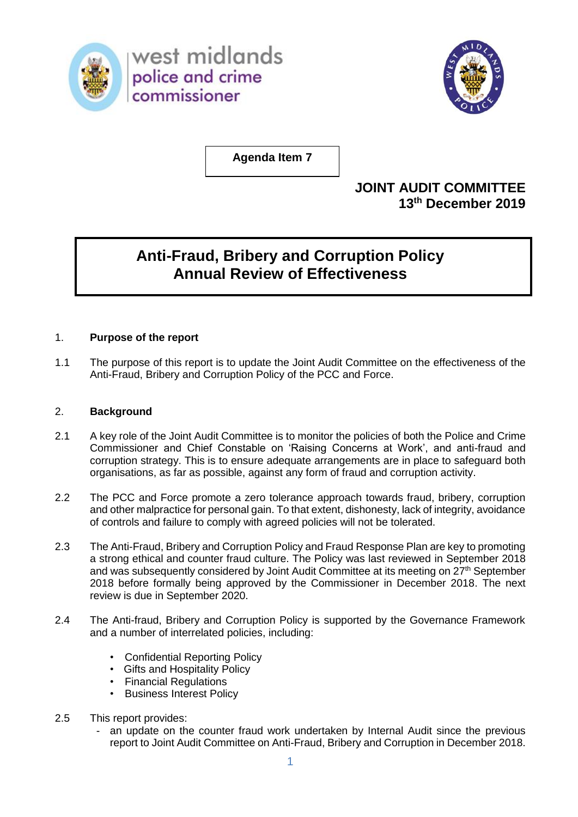

west midlands police and crime commissioner



**Agenda Item 7**

## **JOINT AUDIT COMMITTEE 13th December 2019**

# **Anti-Fraud, Bribery and Corruption Policy Annual Review of Effectiveness**

## 1. **Purpose of the report**

1.1 The purpose of this report is to update the Joint Audit Committee on the effectiveness of the Anti-Fraud, Bribery and Corruption Policy of the PCC and Force.

## 2. **Background**

- 2.1 A key role of the Joint Audit Committee is to monitor the policies of both the Police and Crime Commissioner and Chief Constable on 'Raising Concerns at Work', and anti-fraud and corruption strategy. This is to ensure adequate arrangements are in place to safeguard both organisations, as far as possible, against any form of fraud and corruption activity.
- 2.2 The PCC and Force promote a zero tolerance approach towards fraud, bribery, corruption and other malpractice for personal gain. To that extent, dishonesty, lack of integrity, avoidance of controls and failure to comply with agreed policies will not be tolerated.
- 2.3 The Anti-Fraud, Bribery and Corruption Policy and Fraud Response Plan are key to promoting a strong ethical and counter fraud culture. The Policy was last reviewed in September 2018 and was subsequently considered by Joint Audit Committee at its meeting on 27<sup>th</sup> September 2018 before formally being approved by the Commissioner in December 2018. The next review is due in September 2020.
- 2.4 The Anti-fraud, Bribery and Corruption Policy is supported by the Governance Framework and a number of interrelated policies, including:
	- Confidential Reporting Policy
	- Gifts and Hospitality Policy
	- Financial Regulations
	- Business Interest Policy
- 2.5 This report provides:
	- an update on the counter fraud work undertaken by Internal Audit since the previous report to Joint Audit Committee on Anti-Fraud, Bribery and Corruption in December 2018.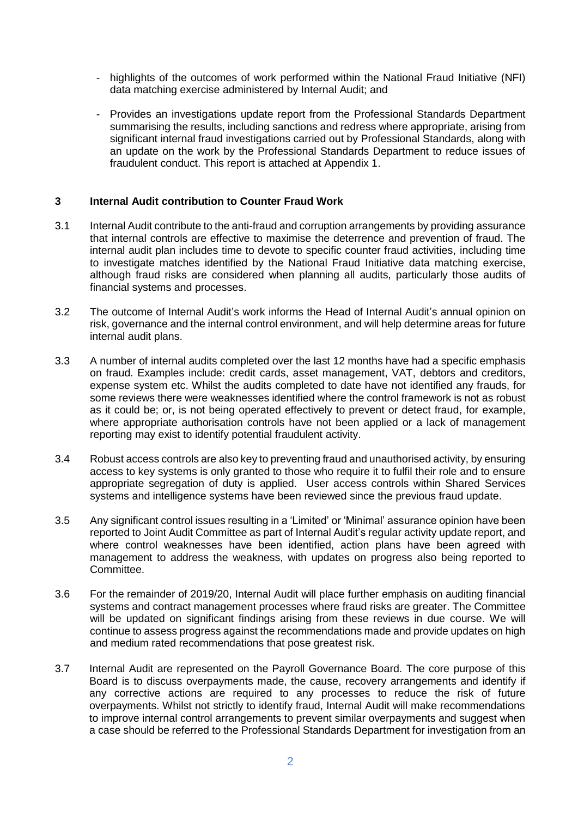- highlights of the outcomes of work performed within the National Fraud Initiative (NFI) data matching exercise administered by Internal Audit; and
- Provides an investigations update report from the Professional Standards Department summarising the results, including sanctions and redress where appropriate, arising from significant internal fraud investigations carried out by Professional Standards, along with an update on the work by the Professional Standards Department to reduce issues of fraudulent conduct. This report is attached at Appendix 1.

#### **3 Internal Audit contribution to Counter Fraud Work**

- 3.1 Internal Audit contribute to the anti-fraud and corruption arrangements by providing assurance that internal controls are effective to maximise the deterrence and prevention of fraud. The internal audit plan includes time to devote to specific counter fraud activities, including time to investigate matches identified by the National Fraud Initiative data matching exercise, although fraud risks are considered when planning all audits, particularly those audits of financial systems and processes.
- 3.2 The outcome of Internal Audit's work informs the Head of Internal Audit's annual opinion on risk, governance and the internal control environment, and will help determine areas for future internal audit plans.
- 3.3 A number of internal audits completed over the last 12 months have had a specific emphasis on fraud. Examples include: credit cards, asset management, VAT, debtors and creditors, expense system etc. Whilst the audits completed to date have not identified any frauds, for some reviews there were weaknesses identified where the control framework is not as robust as it could be; or, is not being operated effectively to prevent or detect fraud, for example, where appropriate authorisation controls have not been applied or a lack of management reporting may exist to identify potential fraudulent activity.
- 3.4 Robust access controls are also key to preventing fraud and unauthorised activity, by ensuring access to key systems is only granted to those who require it to fulfil their role and to ensure appropriate segregation of duty is applied. User access controls within Shared Services systems and intelligence systems have been reviewed since the previous fraud update.
- 3.5 Any significant control issues resulting in a 'Limited' or 'Minimal' assurance opinion have been reported to Joint Audit Committee as part of Internal Audit's regular activity update report, and where control weaknesses have been identified, action plans have been agreed with management to address the weakness, with updates on progress also being reported to Committee.
- 3.6 For the remainder of 2019/20, Internal Audit will place further emphasis on auditing financial systems and contract management processes where fraud risks are greater. The Committee will be updated on significant findings arising from these reviews in due course. We will continue to assess progress against the recommendations made and provide updates on high and medium rated recommendations that pose greatest risk.
- 3.7 Internal Audit are represented on the Payroll Governance Board. The core purpose of this Board is to discuss overpayments made, the cause, recovery arrangements and identify if any corrective actions are required to any processes to reduce the risk of future overpayments. Whilst not strictly to identify fraud, Internal Audit will make recommendations to improve internal control arrangements to prevent similar overpayments and suggest when a case should be referred to the Professional Standards Department for investigation from an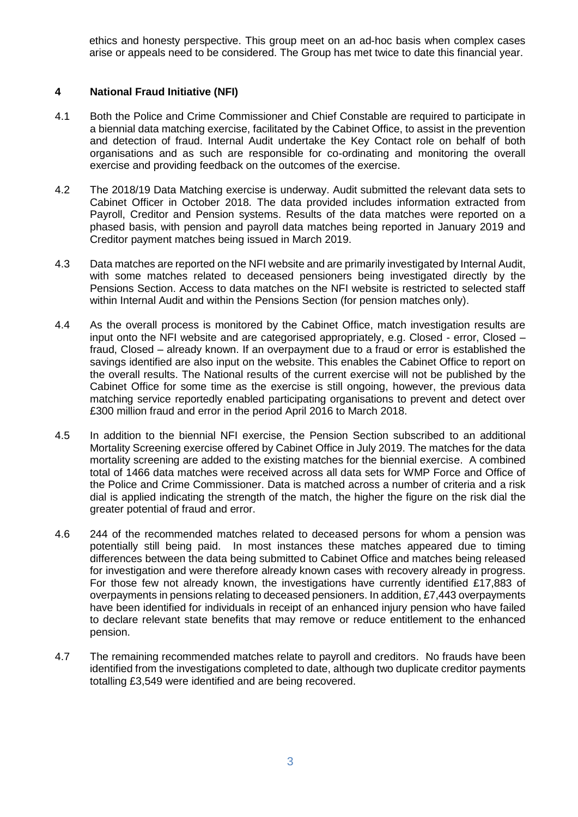ethics and honesty perspective. This group meet on an ad-hoc basis when complex cases arise or appeals need to be considered. The Group has met twice to date this financial year.

### **4 National Fraud Initiative (NFI)**

- 4.1 Both the Police and Crime Commissioner and Chief Constable are required to participate in a biennial data matching exercise, facilitated by the Cabinet Office, to assist in the prevention and detection of fraud. Internal Audit undertake the Key Contact role on behalf of both organisations and as such are responsible for co-ordinating and monitoring the overall exercise and providing feedback on the outcomes of the exercise.
- 4.2 The 2018/19 Data Matching exercise is underway. Audit submitted the relevant data sets to Cabinet Officer in October 2018. The data provided includes information extracted from Payroll, Creditor and Pension systems. Results of the data matches were reported on a phased basis, with pension and payroll data matches being reported in January 2019 and Creditor payment matches being issued in March 2019.
- 4.3 Data matches are reported on the NFI website and are primarily investigated by Internal Audit, with some matches related to deceased pensioners being investigated directly by the Pensions Section. Access to data matches on the NFI website is restricted to selected staff within Internal Audit and within the Pensions Section (for pension matches only).
- 4.4 As the overall process is monitored by the Cabinet Office, match investigation results are input onto the NFI website and are categorised appropriately, e.g. Closed - error, Closed – fraud, Closed – already known. If an overpayment due to a fraud or error is established the savings identified are also input on the website. This enables the Cabinet Office to report on the overall results. The National results of the current exercise will not be published by the Cabinet Office for some time as the exercise is still ongoing, however, the previous data matching service reportedly enabled participating organisations to prevent and detect over £300 million fraud and error in the period April 2016 to March 2018.
- 4.5 In addition to the biennial NFI exercise, the Pension Section subscribed to an additional Mortality Screening exercise offered by Cabinet Office in July 2019. The matches for the data mortality screening are added to the existing matches for the biennial exercise. A combined total of 1466 data matches were received across all data sets for WMP Force and Office of the Police and Crime Commissioner. Data is matched across a number of criteria and a risk dial is applied indicating the strength of the match, the higher the figure on the risk dial the greater potential of fraud and error.
- 4.6 244 of the recommended matches related to deceased persons for whom a pension was potentially still being paid. In most instances these matches appeared due to timing differences between the data being submitted to Cabinet Office and matches being released for investigation and were therefore already known cases with recovery already in progress. For those few not already known, the investigations have currently identified £17,883 of overpayments in pensions relating to deceased pensioners. In addition, £7,443 overpayments have been identified for individuals in receipt of an enhanced injury pension who have failed to declare relevant state benefits that may remove or reduce entitlement to the enhanced pension.
- 4.7 The remaining recommended matches relate to payroll and creditors. No frauds have been identified from the investigations completed to date, although two duplicate creditor payments totalling £3,549 were identified and are being recovered.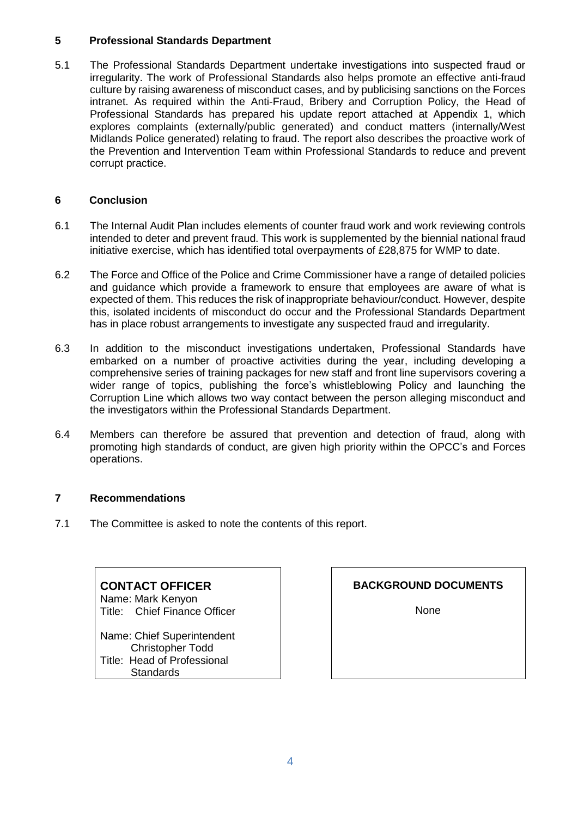## **5 Professional Standards Department**

5.1 The Professional Standards Department undertake investigations into suspected fraud or irregularity. The work of Professional Standards also helps promote an effective anti-fraud culture by raising awareness of misconduct cases, and by publicising sanctions on the Forces intranet. As required within the Anti-Fraud, Bribery and Corruption Policy, the Head of Professional Standards has prepared his update report attached at Appendix 1, which explores complaints (externally/public generated) and conduct matters (internally/West Midlands Police generated) relating to fraud. The report also describes the proactive work of the Prevention and Intervention Team within Professional Standards to reduce and prevent corrupt practice.

## **6 Conclusion**

- 6.1 The Internal Audit Plan includes elements of counter fraud work and work reviewing controls intended to deter and prevent fraud. This work is supplemented by the biennial national fraud initiative exercise, which has identified total overpayments of £28,875 for WMP to date.
- 6.2 The Force and Office of the Police and Crime Commissioner have a range of detailed policies and guidance which provide a framework to ensure that employees are aware of what is expected of them. This reduces the risk of inappropriate behaviour/conduct. However, despite this, isolated incidents of misconduct do occur and the Professional Standards Department has in place robust arrangements to investigate any suspected fraud and irregularity.
- 6.3 In addition to the misconduct investigations undertaken, Professional Standards have embarked on a number of proactive activities during the year, including developing a comprehensive series of training packages for new staff and front line supervisors covering a wider range of topics, publishing the force's whistleblowing Policy and launching the Corruption Line which allows two way contact between the person alleging misconduct and the investigators within the Professional Standards Department.
- 6.4 Members can therefore be assured that prevention and detection of fraud, along with promoting high standards of conduct, are given high priority within the OPCC's and Forces operations.

## **7 Recommendations**

7.1 The Committee is asked to note the contents of this report.

## **CONTACT OFFICER**

Name: Mark Kenyon Title: Chief Finance Officer

Name: Chief Superintendent Christopher Todd Title: Head of Professional **Standards** 

**BACKGROUND DOCUMENTS**

None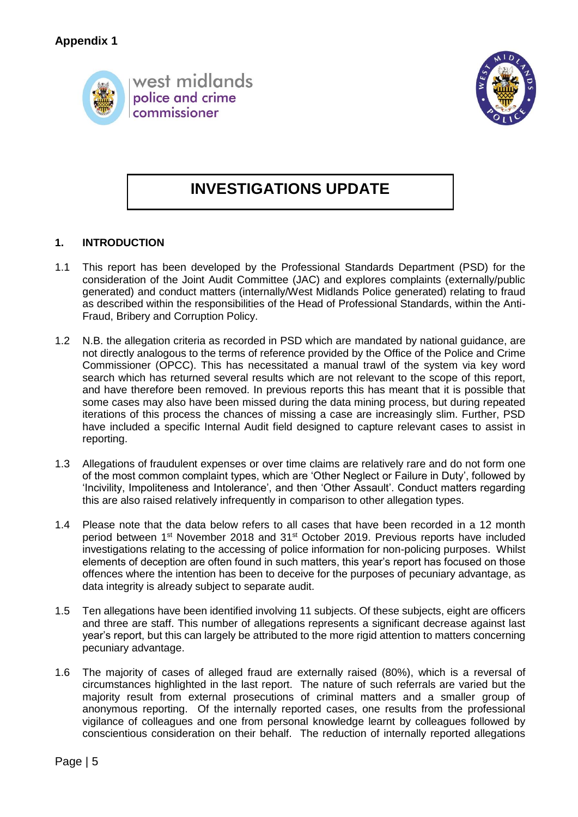



# **INVESTIGATIONS UPDATE**

## **1. INTRODUCTION**

- 1.1 This report has been developed by the Professional Standards Department (PSD) for the consideration of the Joint Audit Committee (JAC) and explores complaints (externally/public generated) and conduct matters (internally/West Midlands Police generated) relating to fraud as described within the responsibilities of the Head of Professional Standards, within the Anti-Fraud, Bribery and Corruption Policy.
- 1.2 N.B. the allegation criteria as recorded in PSD which are mandated by national guidance, are not directly analogous to the terms of reference provided by the Office of the Police and Crime Commissioner (OPCC). This has necessitated a manual trawl of the system via key word search which has returned several results which are not relevant to the scope of this report, and have therefore been removed. In previous reports this has meant that it is possible that some cases may also have been missed during the data mining process, but during repeated iterations of this process the chances of missing a case are increasingly slim. Further, PSD have included a specific Internal Audit field designed to capture relevant cases to assist in reporting.
- 1.3 Allegations of fraudulent expenses or over time claims are relatively rare and do not form one of the most common complaint types, which are 'Other Neglect or Failure in Duty', followed by 'Incivility, Impoliteness and Intolerance', and then 'Other Assault'. Conduct matters regarding this are also raised relatively infrequently in comparison to other allegation types.
- 1.4 Please note that the data below refers to all cases that have been recorded in a 12 month period between 1<sup>st</sup> November 2018 and 31<sup>st</sup> October 2019. Previous reports have included investigations relating to the accessing of police information for non-policing purposes. Whilst elements of deception are often found in such matters, this year's report has focused on those offences where the intention has been to deceive for the purposes of pecuniary advantage, as data integrity is already subject to separate audit.
- 1.5 Ten allegations have been identified involving 11 subjects. Of these subjects, eight are officers and three are staff. This number of allegations represents a significant decrease against last year's report, but this can largely be attributed to the more rigid attention to matters concerning pecuniary advantage.
- 1.6 The majority of cases of alleged fraud are externally raised (80%), which is a reversal of circumstances highlighted in the last report. The nature of such referrals are varied but the majority result from external prosecutions of criminal matters and a smaller group of anonymous reporting. Of the internally reported cases, one results from the professional vigilance of colleagues and one from personal knowledge learnt by colleagues followed by conscientious consideration on their behalf. The reduction of internally reported allegations

Page | 5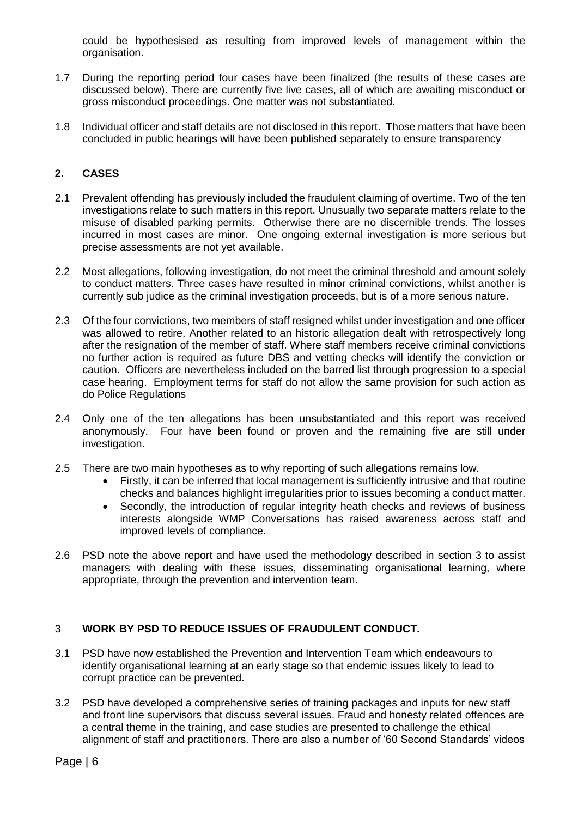could be hypothesised as resulting from improved levels of management within the organisation.

- 1.7 During the reporting period four cases have been finalized (the results of these cases are discussed below). There are currently five live cases, all of which are awaiting misconduct or gross misconduct proceedings. One matter was not substantiated.
- 1.8 Individual officer and staff details are not disclosed in this report. Those matters that have been concluded in public hearings will have been published separately to ensure transparency

#### **2. CASES**

- 2.1 Prevalent offending has previously included the fraudulent claiming of overtime. Two of the ten investigations relate to such matters in this report. Unusually two separate matters relate to the misuse of disabled parking permits. Otherwise there are no discernible trends. The losses incurred in most cases are minor. One ongoing external investigation is more serious but precise assessments are not yet available.
- 2.2 Most allegations, following investigation, do not meet the criminal threshold and amount solely to conduct matters. Three cases have resulted in minor criminal convictions, whilst another is currently sub judice as the criminal investigation proceeds, but is of a more serious nature.
- 2.3 Of the four convictions, two members of staff resigned whilst under investigation and one officer was allowed to retire. Another related to an historic allegation dealt with retrospectively long after the resignation of the member of staff. Where staff members receive criminal convictions no further action is required as future DBS and vetting checks will identify the conviction or caution. Officers are nevertheless included on the barred list through progression to a special case hearing. Employment terms for staff do not allow the same provision for such action as do Police Regulations
- 2.4 Only one of the ten allegations has been unsubstantiated and this report was received anonymously. Four have been found or proven and the remaining five are still under investigation.
- 2.5 There are two main hypotheses as to why reporting of such allegations remains low.
	- Firstly, it can be inferred that local management is sufficiently intrusive and that routine checks and balances highlight irregularities prior to issues becoming a conduct matter.
	- Secondly, the introduction of regular integrity heath checks and reviews of business interests alongside WMP Conversations has raised awareness across staff and improved levels of compliance.
- 2.6 PSD note the above report and have used the methodology described in section 3 to assist managers with dealing with these issues, disseminating organisational learning, where appropriate, through the prevention and intervention team.

#### 3 **WORK BY PSD TO REDUCE ISSUES OF FRAUDULENT CONDUCT.**

- 3.1 PSD have now established the Prevention and Intervention Team which endeavours to identify organisational learning at an early stage so that endemic issues likely to lead to corrupt practice can be prevented.
- 3.2 PSD have developed a comprehensive series of training packages and inputs for new staff and front line supervisors that discuss several issues. Fraud and honesty related offences are a central theme in the training, and case studies are presented to challenge the ethical alignment of staff and practitioners. There are also a number of '60 Second Standards' videos

Page | 6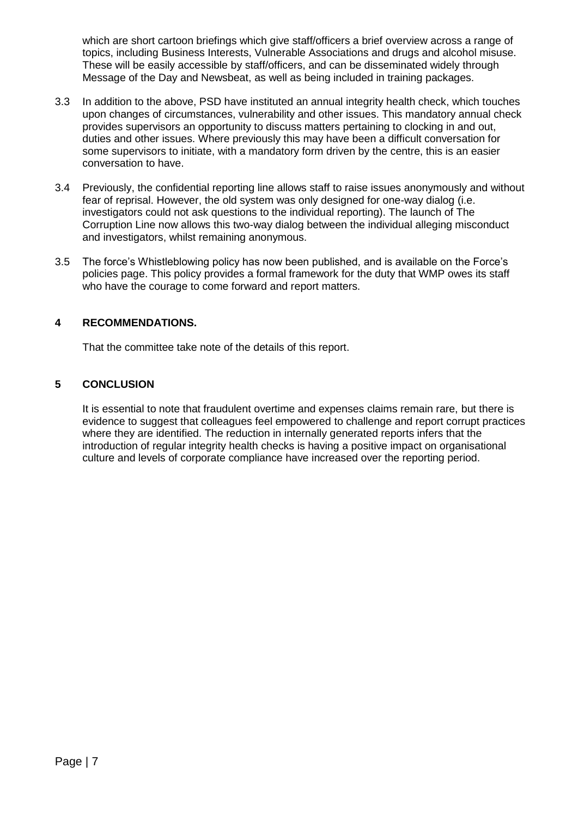which are short cartoon briefings which give staff/officers a brief overview across a range of topics, including Business Interests, Vulnerable Associations and drugs and alcohol misuse. These will be easily accessible by staff/officers, and can be disseminated widely through Message of the Day and Newsbeat, as well as being included in training packages.

- 3.3 In addition to the above, PSD have instituted an annual integrity health check, which touches upon changes of circumstances, vulnerability and other issues. This mandatory annual check provides supervisors an opportunity to discuss matters pertaining to clocking in and out, duties and other issues. Where previously this may have been a difficult conversation for some supervisors to initiate, with a mandatory form driven by the centre, this is an easier conversation to have.
- 3.4 Previously, the confidential reporting line allows staff to raise issues anonymously and without fear of reprisal. However, the old system was only designed for one-way dialog (i.e. investigators could not ask questions to the individual reporting). The launch of The Corruption Line now allows this two-way dialog between the individual alleging misconduct and investigators, whilst remaining anonymous.
- 3.5 The force's Whistleblowing policy has now been published, and is available on the Force's policies page. This policy provides a formal framework for the duty that WMP owes its staff who have the courage to come forward and report matters.

## **4 RECOMMENDATIONS.**

That the committee take note of the details of this report.

## **5 CONCLUSION**

It is essential to note that fraudulent overtime and expenses claims remain rare, but there is evidence to suggest that colleagues feel empowered to challenge and report corrupt practices where they are identified. The reduction in internally generated reports infers that the introduction of regular integrity health checks is having a positive impact on organisational culture and levels of corporate compliance have increased over the reporting period.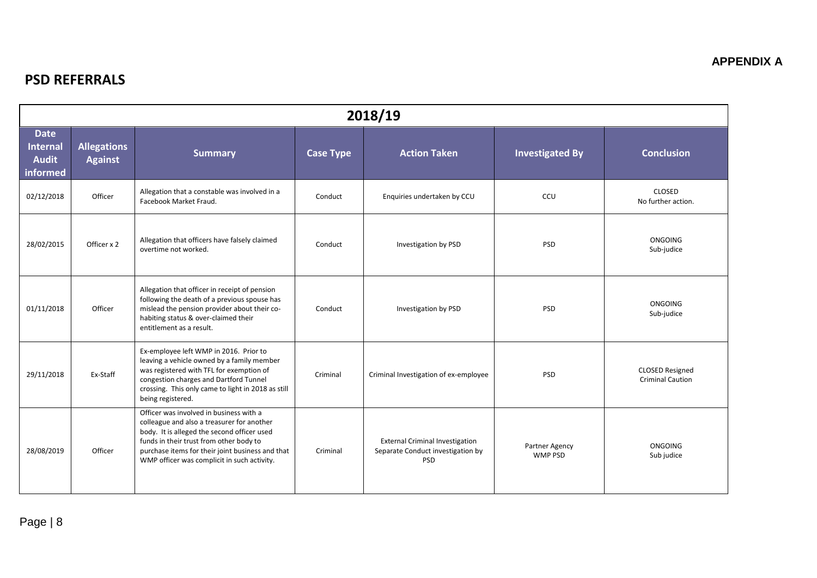## **PSD REFERRALS**

| 2018/19                                                    |                                      |                                                                                                                                                                                                                                                                                    |                  |                                                                                           |                                  |                                                   |  |  |  |
|------------------------------------------------------------|--------------------------------------|------------------------------------------------------------------------------------------------------------------------------------------------------------------------------------------------------------------------------------------------------------------------------------|------------------|-------------------------------------------------------------------------------------------|----------------------------------|---------------------------------------------------|--|--|--|
| <b>Date</b><br><b>Internal</b><br><b>Audit</b><br>informed | <b>Allegations</b><br><b>Against</b> | <b>Summary</b>                                                                                                                                                                                                                                                                     | <b>Case Type</b> | <b>Action Taken</b>                                                                       | <b>Investigated By</b>           | <b>Conclusion</b>                                 |  |  |  |
| 02/12/2018                                                 | Officer                              | Allegation that a constable was involved in a<br>Facebook Market Fraud.                                                                                                                                                                                                            | Conduct          | Enquiries undertaken by CCU                                                               | CCU                              | <b>CLOSED</b><br>No further action.               |  |  |  |
| 28/02/2015                                                 | Officer x 2                          | Allegation that officers have falsely claimed<br>overtime not worked.                                                                                                                                                                                                              | Conduct          | Investigation by PSD                                                                      | <b>PSD</b>                       | <b>ONGOING</b><br>Sub-judice                      |  |  |  |
| 01/11/2018                                                 | Officer                              | Allegation that officer in receipt of pension<br>following the death of a previous spouse has<br>mislead the pension provider about their co-<br>habiting status & over-claimed their<br>entitlement as a result.                                                                  | Conduct          | Investigation by PSD                                                                      | <b>PSD</b>                       | <b>ONGOING</b><br>Sub-judice                      |  |  |  |
| 29/11/2018                                                 | Ex-Staff                             | Ex-employee left WMP in 2016. Prior to<br>leaving a vehicle owned by a family member<br>was registered with TFL for exemption of<br>congestion charges and Dartford Tunnel<br>crossing. This only came to light in 2018 as still<br>being registered.                              | Criminal         | Criminal Investigation of ex-employee                                                     | PSD                              | <b>CLOSED Resigned</b><br><b>Criminal Caution</b> |  |  |  |
| 28/08/2019                                                 | Officer                              | Officer was involved in business with a<br>colleague and also a treasurer for another<br>body. It is alleged the second officer used<br>funds in their trust from other body to<br>purchase items for their joint business and that<br>WMP officer was complicit in such activity. | Criminal         | <b>External Criminal Investigation</b><br>Separate Conduct investigation by<br><b>PSD</b> | Partner Agency<br><b>WMP PSD</b> | <b>ONGOING</b><br>Sub judice                      |  |  |  |

**APPENDIX A**